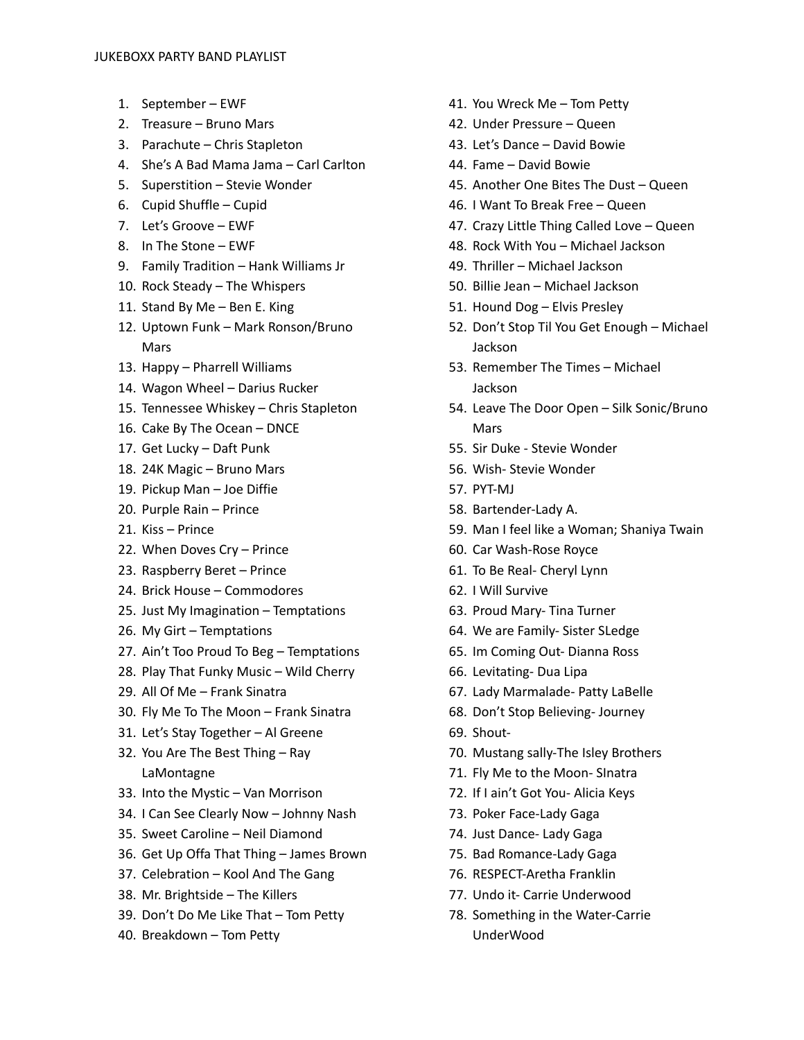- 1. September EWF
- 2. Treasure Bruno Mars
- 3. Parachute Chris Stapleton
- 4. She's A Bad Mama Jama Carl Carlton
- 5. Superstition Stevie Wonder
- 6. Cupid Shuffle Cupid
- 7. Let's Groove EWF
- 8. In The Stone EWF
- 9. Family Tradition Hank Williams Jr
- 10. Rock Steady The Whispers
- 11. Stand By Me Ben E. King
- 12. Uptown Funk Mark Ronson/Bruno **Mars**
- 13. Happy Pharrell Williams
- 14. Wagon Wheel Darius Rucker
- 15. Tennessee Whiskey Chris Stapleton
- 16. Cake By The Ocean DNCE
- 17. Get Lucky Daft Punk
- 18. 24K Magic Bruno Mars
- 19. Pickup Man Joe Diffie
- 20. Purple Rain Prince
- 21. Kiss Prince
- 22. When Doves Cry Prince
- 23. Raspberry Beret Prince
- 24. Brick House Commodores
- 25. Just My Imagination Temptations
- 26. My Girt Temptations
- 27. Ain't Too Proud To Beg Temptations
- 28. Play That Funky Music Wild Cherry
- 29. All Of Me Frank Sinatra
- 30. Fly Me To The Moon Frank Sinatra
- 31. Let's Stay Together Al Greene
- 32. You Are The Best Thing Ray LaMontagne
- 33. Into the Mystic Van Morrison
- 34. I Can See Clearly Now Johnny Nash
- 35. Sweet Caroline Neil Diamond
- 36. Get Up Offa That Thing James Brown
- 37. Celebration Kool And The Gang
- 38. Mr. Brightside The Killers
- 39. Don't Do Me Like That Tom Petty
- 40. Breakdown Tom Petty
- 41. You Wreck Me Tom Petty
- 42. Under Pressure Queen
- 43. Let's Dance David Bowie
- 44. Fame David Bowie
- 45. Another One Bites The Dust Queen
- 46. I Want To Break Free Queen
- 47. Crazy Little Thing Called Love Queen
- 48. Rock With You Michael Jackson
- 49. Thriller Michael Jackson
- 50. Billie Jean Michael Jackson
- 51. Hound Dog Elvis Presley
- 52. Don't Stop Til You Get Enough Michael Jackson
- 53. Remember The Times Michael Jackson
- 54. Leave The Door Open Silk Sonic/Bruno Mars
- 55. Sir Duke Stevie Wonder
- 56. Wish- Stevie Wonder
- 57. PYT-MJ
- 58. Bartender-Lady A.
- 59. Man I feel like a Woman; Shaniya Twain
- 60. Car Wash-Rose Royce
- 61. To Be Real- Cheryl Lynn
- 62. I Will Survive
- 63. Proud Mary- Tina Turner
- 64. We are Family- Sister SLedge
- 65. Im Coming Out- Dianna Ross
- 66. Levitating- Dua Lipa
- 67. Lady Marmalade- Patty LaBelle
- 68. Don't Stop Believing- Journey
- 69. Shout-
- 70. Mustang sally-The Isley Brothers
- 71. Fly Me to the Moon- SInatra
- 72. If I ain't Got You- Alicia Keys
- 73. Poker Face-Lady Gaga
- 74. Just Dance- Lady Gaga
- 75. Bad Romance-Lady Gaga
- 76. RESPECT-Aretha Franklin
- 77. Undo it- Carrie Underwood
- 78. Something in the Water-Carrie UnderWood